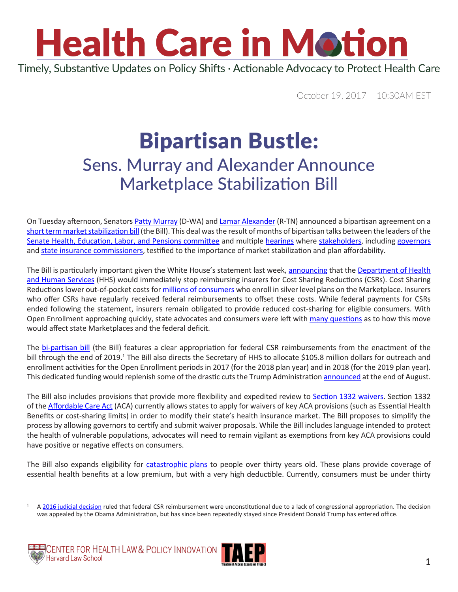## **Health Care in Motion** Timely, Substantive Updates on Policy Shifts · Actionable Advocacy to Protect Health Care

October 19, 2017 10:30AM EST

## Bipartisan Bustle: Sens. Murray and Alexander Announce Marketplace Stabilization Bill

On Tuesday afternoon, Senators [Patty Murray](https://www.murray.senate.gov/public/index.cfm/contactme) (D-WA) and [Lamar Alexander](https://www.alexander.senate.gov/public/index.cfm/officelocations) (R-TN) announced a bipartisan agreement on a [short term market stabilization bill](https://www.washingtonpost.com/apps/g/page/politics/alexander-murray-compromise-the-full-text/2250/) (the Bill). This deal was the result of months of bipartisan talks between the leaders of the [Senate Health, Education, Labor, and Pensions committee](https://www.help.senate.gov/) and multiple [hearings](https://www.help.senate.gov/hearings/stabilizing-premiums-and-helping-individuals-in-the-individual-insurance-market-for-2018-state-flexibility) where [stakeholders](https://www.help.senate.gov/hearings/stabilizing-premiums-and-helping-individuals-in-the-individual-insurance-market-for-2018-health-care-stakeholders), including [governors](https://www.help.senate.gov/hearings/stabilizing-premiums-and-helping-individuals-in-the-individual-insurance-market-for-2018-governors) and [state insurance commissioners](https://www.help.senate.gov/hearings/stabilizing-premiums-and-helping-individuals-in-the-individual-insurance-market-for-2018-state-insurance-commissioners), testified to the importance of market stabilization and plan affordability.

The Bill is particularly important given the White House's statement last week, [announcing](https://www.nytimes.com/2017/10/12/us/politics/trump-obamacare-executive-order-health-insurance.html?_r=0) that the [Department of Health](https://www.hhs.gov/about/contact-us/index.html)  [and Human Services](https://www.hhs.gov/about/contact-us/index.html) (HHS) would immediately stop reimbursing insurers for Cost Sharing Reductions (CSRs). Cost Sharing Reductions lower out-of-pocket costs for [millions of consumers](http://www.commonwealthfund.org/publications/explainers/2017/apr/cost-sharing-reductions) who enroll in silver level plans on the Marketplace. Insurers who offer CSRs have regularly received federal reimbursements to offset these costs. While federal payments for CSRs ended following the statement, insurers remain obligated to provide reduced cost-sharing for eligible consumers. With Open Enrollment approaching quickly, state advocates and consumers were left with [many questions](http://healthaffairs.org/blog/2017/10/13/administrations-ending-of-cost-sharing-reduction-payments-likely-to-roil-individual-markets/) as to how this move would affect state Marketplaces and the federal deficit.

The [bi-partisan bill](https://www.washingtonpost.com/apps/g/page/politics/alexander-murray-compromise-the-full-text/2250/) (the Bill) features a clear appropriation for federal CSR reimbursements from the enactment of the bill through the end of 2019.<sup>1</sup> The Bill also directs the Secretary of HHS to allocate \$105.8 million dollars for outreach and enrollment activities for the Open Enrollment periods in 2017 (for the 2018 plan year) and in 2018 (for the 2019 plan year). This dedicated funding would replenish some of the drastic cuts the Trump Administration [announced](https://www.cms.gov/Newsroom/MediaReleaseDatabase/Press-releases/2017-Press-releases-items/2017-08-31-3.html) at the end of August.

The Bill also includes provisions that provide more flexibility and expedited review to [Section 1332 waivers.](https://www.kff.org/health-reform/issue-brief/section-1332-state-innovation-waivers-current-status-and-potential-changes/) Section 1332 of the [Affordable Care Act](https://www.govtrack.us/congress/bills/111/hr3590/text) (ACA) currently allows states to apply for waivers of key ACA provisions (such as Essential Health Benefits or cost-sharing limits) in order to modify their state's health insurance market. The Bill proposes to simplify the process by allowing governors to certify and submit waiver proposals. While the Bill includes language intended to protect the health of vulnerable populations, advocates will need to remain vigilant as exemptions from key ACA provisions could have positive or negative effects on consumers.

The Bill also expands eligibility for [catastrophic plans](https://www.healthcare.gov/choose-a-plan/plans-categories/#catastrophic) to people over thirty years old. These plans provide coverage of essential health benefits at a low premium, but with a very high deductible. Currently, consumers must be under thirty

A [2016 judicial decision](https://ecf.dcd.uscourts.gov/cgi-bin/show_public_doc?2014cv1967-73) ruled that federal CSR reimbursement were unconstitutional due to a lack of congressional appropriation. The decision was appealed by the Obama Administration, but has since been repeatedly stayed since President Donald Trump has entered office.